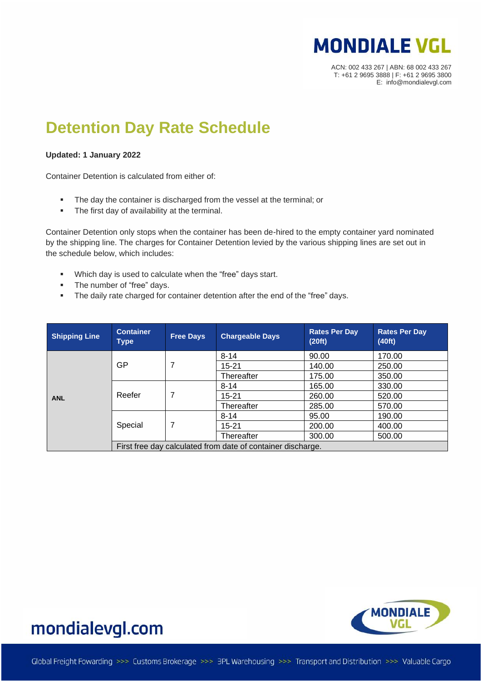

ACN: 002 433 267 | ABN: 68 002 433 267 T: +61 2 9695 3888 | F: +61 2 9695 3800 E: info@mondialevgl.com

#### **Detention Day Rate Schedule**

#### **Updated: 1 January 2022**

Container Detention is calculated from either of:

- The day the container is discharged from the vessel at the terminal; or
- The first day of availability at the terminal.

Container Detention only stops when the container has been de-hired to the empty container yard nominated by the shipping line. The charges for Container Detention levied by the various shipping lines are set out in the schedule below, which includes:

- Which day is used to calculate when the "free" days start.
- The number of "free" days.
- **•** The daily rate charged for container detention after the end of the "free" days.

| <b>Shipping Line</b> | <b>Container</b><br><b>Type</b>                             | <b>Free Days</b> | <b>Chargeable Days</b> | <b>Rates Per Day</b><br>(20 ft) | <b>Rates Per Day</b><br>(40 ft) |
|----------------------|-------------------------------------------------------------|------------------|------------------------|---------------------------------|---------------------------------|
| <b>ANL</b>           | GP                                                          | 7                | $8 - 14$               | 90.00                           | 170.00                          |
|                      |                                                             |                  | $15 - 21$              | 140.00                          | 250.00                          |
|                      |                                                             |                  | Thereafter             | 175.00                          | 350.00                          |
|                      | Reefer                                                      | 7                | $8 - 14$               | 165.00                          | 330.00                          |
|                      |                                                             |                  | $15 - 21$              | 260.00                          | 520.00                          |
|                      |                                                             |                  | Thereafter             | 285.00                          | 570.00                          |
|                      | Special                                                     | 7                | $8 - 14$               | 95.00                           | 190.00                          |
|                      |                                                             |                  | $15 - 21$              | 200.00                          | 400.00                          |
|                      |                                                             |                  | Thereafter             | 300.00                          | 500.00                          |
|                      | First free day calculated from date of container discharge. |                  |                        |                                 |                                 |



#### mondialevgl.com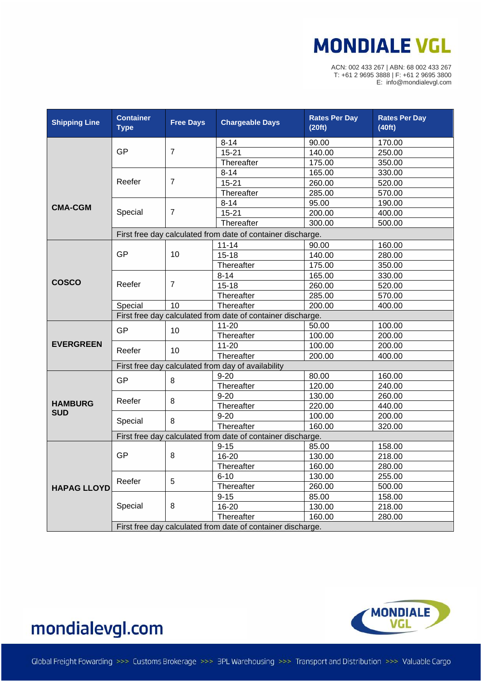# **MONDIALE VGL**

ACN: 002 433 267 | ABN: 68 002 433 267 T: +61 2 9695 3888 | F: +61 2 9695 3800 E: info@mondialevgl.com

| <b>Shipping Line</b> | <b>Container</b><br><b>Type</b>                             | <b>Free Days</b> | <b>Chargeable Days</b>                                      | <b>Rates Per Day</b><br>(20 ft) | <b>Rates Per Day</b><br>(40 ft) |  |
|----------------------|-------------------------------------------------------------|------------------|-------------------------------------------------------------|---------------------------------|---------------------------------|--|
|                      |                                                             |                  | $8 - 14$                                                    | 90.00                           | 170.00                          |  |
|                      | GP                                                          | $\overline{7}$   | $15 - 21$                                                   | 140.00                          | 250.00                          |  |
|                      |                                                             |                  | Thereafter                                                  | 175.00                          | 350.00                          |  |
|                      |                                                             | $\overline{7}$   | $8 - 14$                                                    | 165.00                          | 330.00                          |  |
|                      | Reefer                                                      |                  | $15 - 21$                                                   | 260.00                          | 520.00                          |  |
|                      |                                                             |                  | Thereafter                                                  | 285.00                          | 570.00                          |  |
| <b>CMA-CGM</b>       |                                                             | $\overline{7}$   | $8 - 14$                                                    | 95.00                           | 190.00                          |  |
|                      | Special                                                     |                  | $15 - 21$                                                   | 200.00                          | 400.00                          |  |
|                      |                                                             |                  | Thereafter                                                  | 300.00                          | 500.00                          |  |
|                      | First free day calculated from date of container discharge. |                  |                                                             |                                 |                                 |  |
|                      | GP                                                          | 10               | $11 - 14$                                                   | 90.00                           | 160.00                          |  |
|                      |                                                             |                  | $15 - 18$                                                   | 140.00                          | 280.00                          |  |
|                      |                                                             |                  | Thereafter                                                  | 175.00                          | 350.00                          |  |
|                      |                                                             |                  | $8 - 14$                                                    | 165.00                          | 330.00                          |  |
| <b>COSCO</b>         | Reefer                                                      | $\overline{7}$   | $15 - 18$                                                   | 260.00                          | 520.00                          |  |
|                      |                                                             |                  | Thereafter                                                  | 285.00                          | 570.00                          |  |
|                      | Special                                                     | 10               | Thereafter                                                  | 200.00                          | 400.00                          |  |
|                      |                                                             |                  | First free day calculated from date of container discharge. |                                 |                                 |  |
|                      | GP                                                          | 10               | $11 - 20$                                                   | 50.00                           | 100.00                          |  |
|                      |                                                             |                  | Thereafter                                                  | 100.00                          | 200.00                          |  |
| <b>EVERGREEN</b>     | Reefer                                                      | 10               | $11 - 20$                                                   | 100.00                          | 200.00                          |  |
|                      |                                                             |                  | Thereafter                                                  | 200.00                          | 400.00                          |  |
|                      | First free day calculated from day of availability          |                  |                                                             |                                 |                                 |  |
|                      | GP                                                          | 8                | $9 - 20$                                                    | 80.00                           | 160.00                          |  |
|                      |                                                             |                  | Thereafter                                                  | 120.00                          | 240.00                          |  |
|                      | Reefer                                                      | 8                | $9 - 20$                                                    | 130.00                          | 260.00                          |  |
| <b>HAMBURG</b>       |                                                             |                  | Thereafter                                                  | 220.00                          | 440.00                          |  |
| <b>SUD</b>           | Special                                                     | 8                | $9 - 20$                                                    | 100.00                          | 200.00                          |  |
|                      |                                                             |                  | Thereafter                                                  | 160.00                          | 320.00                          |  |
|                      | First free day calculated from date of container discharge. |                  |                                                             |                                 |                                 |  |
| <b>HAPAG LLOYD</b>   | GP                                                          | 8                | $9 - 15$                                                    | 85.00                           | 158.00                          |  |
|                      |                                                             |                  | 16-20                                                       | 130.00                          | 218.00                          |  |
|                      |                                                             |                  | Thereafter                                                  | 160.00                          | 280.00                          |  |
|                      | Reefer                                                      | $\overline{5}$   | $6 - 10$                                                    | 130.00                          | 255.00                          |  |
|                      |                                                             |                  | Thereafter                                                  | 260.00                          | 500.00                          |  |
|                      |                                                             | 8                | $9 - 15$                                                    | 85.00                           | 158.00                          |  |
|                      | Special                                                     |                  | 16-20                                                       | 130.00                          | 218.00                          |  |
|                      |                                                             |                  | Thereafter                                                  | 160.00                          | 280.00                          |  |
|                      | First free day calculated from date of container discharge. |                  |                                                             |                                 |                                 |  |



## mondialevgl.com

Global Freight Fowarding >>> Customs Brokerage >>> 3PL Warehousing >>> Transport and Distribution >>> Valuable Cargo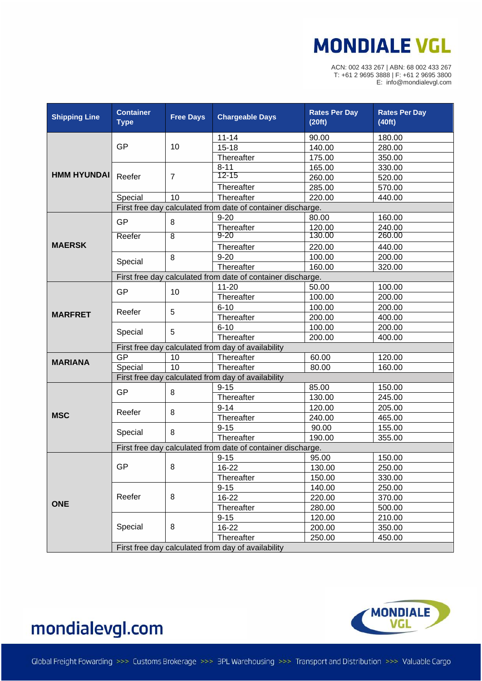# **MONDIALE VGL**

ACN: 002 433 267 | ABN: 68 002 433 267 T: +61 2 9695 3888 | F: +61 2 9695 3800 E: info@mondialevgl.com

| <b>Shipping Line</b> | <b>Container</b><br><b>Type</b>                             | <b>Free Days</b> | <b>Chargeable Days</b> | <b>Rates Per Day</b><br>(20 ft) | <b>Rates Per Day</b><br>(40 ft) |  |
|----------------------|-------------------------------------------------------------|------------------|------------------------|---------------------------------|---------------------------------|--|
|                      |                                                             |                  | $11 - 14$              | 90.00                           | 180.00                          |  |
|                      | <b>GP</b>                                                   | 10               | $15 - 18$              | 140.00                          | 280.00                          |  |
|                      |                                                             |                  | Thereafter             | 175.00                          | 350.00                          |  |
|                      |                                                             | $\overline{7}$   | $8 - 11$               | 165.00                          | 330.00                          |  |
| <b>HMM HYUNDAI</b>   | Reefer                                                      |                  | $12 - 15$              | 260.00                          | 520.00                          |  |
|                      |                                                             |                  | Thereafter             | 285.00                          | 570.00                          |  |
|                      | Special                                                     | 10               | Thereafter             | 220.00                          | 440.00                          |  |
|                      | First free day calculated from date of container discharge. |                  |                        |                                 |                                 |  |
|                      | <b>GP</b>                                                   | 8                | $9 - 20$               | 80.00                           | 160.00                          |  |
|                      |                                                             |                  | Thereafter             | 120.00                          | 240.00                          |  |
|                      | Reefer                                                      | $\overline{8}$   | $9 - 20$               | 130.00                          | 260.00                          |  |
| <b>MAERSK</b>        |                                                             |                  | Thereafter             | 220.00                          | 440.00                          |  |
|                      |                                                             | 8                | $9 - 20$               | 100.00                          | 200.00                          |  |
|                      | Special                                                     |                  | Thereafter             | 160.00                          | 320.00                          |  |
|                      | First free day calculated from date of container discharge. |                  |                        |                                 |                                 |  |
|                      | GP                                                          | 10               | $11 - 20$              | 50.00                           | 100.00                          |  |
|                      |                                                             |                  | Thereafter             | 100.00                          | 200.00                          |  |
|                      |                                                             | 5                | $6 - 10$               | 100.00                          | 200.00                          |  |
| <b>MARFRET</b>       | Reefer                                                      |                  | Thereafter             | 200.00                          | 400.00                          |  |
|                      | Special                                                     | 5                | $6 - 10$               | 100.00                          | 200.00                          |  |
|                      |                                                             |                  | Thereafter             | 200.00                          | 400.00                          |  |
|                      | First free day calculated from day of availability          |                  |                        |                                 |                                 |  |
|                      | GP                                                          | 10               | Thereafter             | 60.00                           | 120.00                          |  |
| <b>MARIANA</b>       | Special                                                     | 10               | Thereafter             | 80.00                           | 160.00                          |  |
|                      | First free day calculated from day of availability          |                  |                        |                                 |                                 |  |
|                      | <b>GP</b>                                                   | 8                | $9 - 15$               | 85.00                           | 150.00                          |  |
|                      |                                                             |                  | Thereafter             | 130.00                          | 245.00                          |  |
|                      | Reefer                                                      | 8                | $9 - 14$               | 120.00                          | 205.00                          |  |
| <b>MSC</b>           |                                                             |                  | Thereafter             | 240.00                          | 465.00                          |  |
|                      | Special                                                     | 8                | $9 - 15$               | 90.00                           | 155.00                          |  |
|                      |                                                             |                  | Thereafter             | 190.00                          | 355.00                          |  |
|                      | First free day calculated from date of container discharge. |                  |                        |                                 |                                 |  |
|                      | GP                                                          | 8                | $9 - 15$               | 95.00                           | 150.00                          |  |
| <b>ONE</b>           |                                                             |                  | 16-22                  | 130.00                          | 250.00                          |  |
|                      |                                                             |                  | Thereafter             | 150.00                          | 330.00                          |  |
|                      | Reefer                                                      | 8                | $9 - 15$               | 140.00                          | 250.00                          |  |
|                      |                                                             |                  | 16-22                  | 220.00                          | 370.00                          |  |
|                      |                                                             |                  | Thereafter             | 280.00                          | 500.00                          |  |
|                      | Special                                                     | 8                | $9 - 15$               | 120.00                          | 210.00                          |  |
|                      |                                                             |                  | 16-22                  | 200.00                          | 350.00                          |  |
|                      |                                                             |                  | Thereafter             | 250.00                          | 450.00                          |  |
|                      | First free day calculated from day of availability          |                  |                        |                                 |                                 |  |



## mondialevgl.com